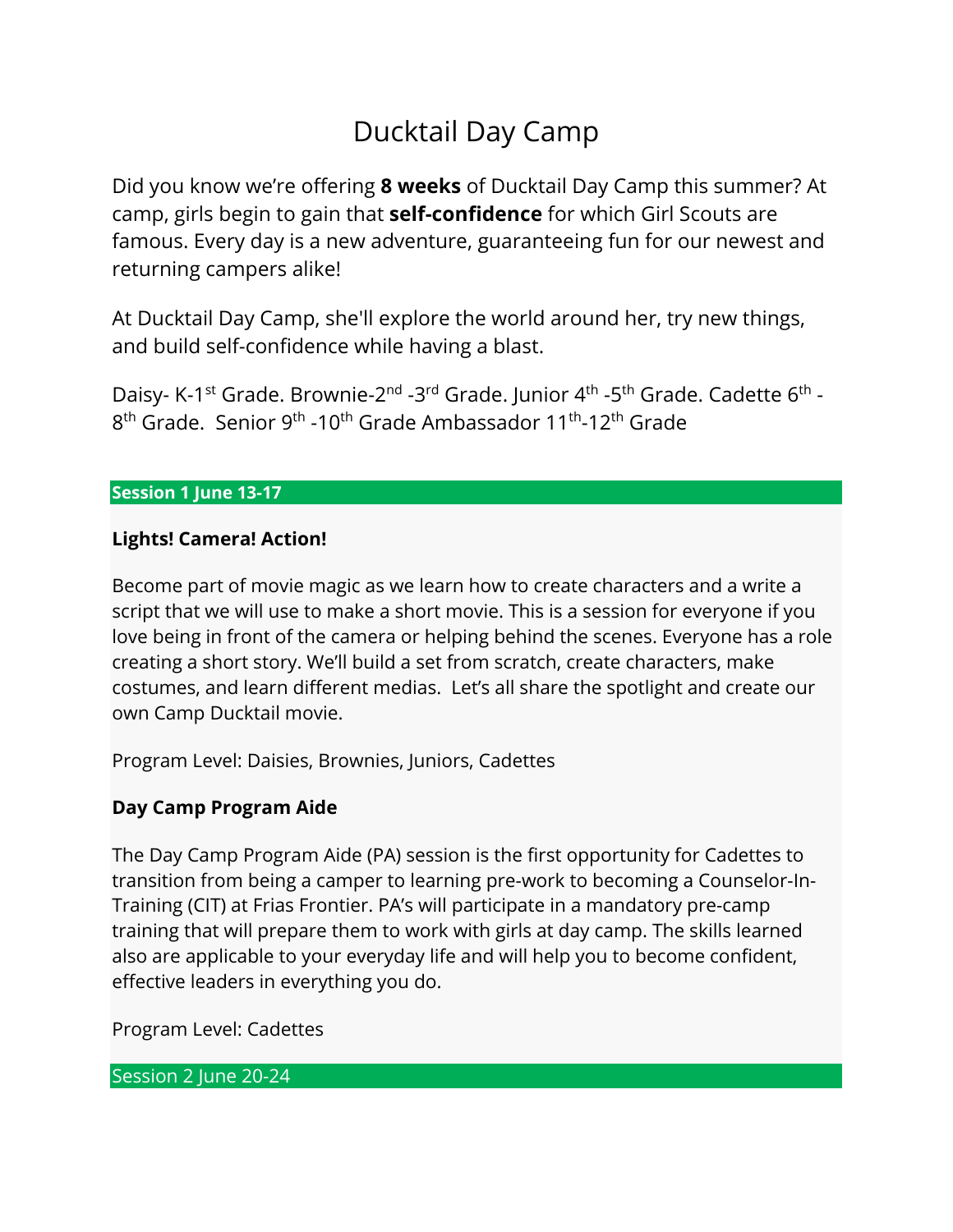# Ducktail Day Camp

Did you know we're offering **8 weeks** of Ducktail Day Camp this summer? At camp, girls begin to gain that **self-confidence** for which Girl Scouts are famous. Every day is a new adventure, guaranteeing fun for our newest and returning campers alike!

At Ducktail Day Camp, she'll explore the world around her, try new things, and build self-confidence while having a blast.

Daisy- K-1<sup>st</sup> Grade. Brownie-2<sup>nd</sup> -3<sup>rd</sup> Grade. Junior 4<sup>th</sup> -5<sup>th</sup> Grade. Cadette 6<sup>th</sup> - $8<sup>th</sup>$  Grade. Senior 9<sup>th</sup> -10<sup>th</sup> Grade Ambassador 11<sup>th</sup>-12<sup>th</sup> Grade

## **Session 1 June 13-17**

# **Lights! Camera! Action!**

Become part of movie magic as we learn how to create characters and a write a script that we will use to make a short movie. This is a session for everyone if you love being in front of the camera or helping behind the scenes. Everyone has a role creating a short story. We'll build a set from scratch, create characters, make costumes, and learn different medias. Let's all share the spotlight and create our own Camp Ducktail movie.

Program Level: Daisies, Brownies, Juniors, Cadettes

# **Day Camp Program Aide**

The Day Camp Program Aide (PA) session is the first opportunity for Cadettes to transition from being a camper to learning pre-work to becoming a Counselor-In-Training (CIT) at Frias Frontier. PA's will participate in a mandatory pre-camp training that will prepare them to work with girls at day camp. The skills learned also are applicable to your everyday life and will help you to become confident, effective leaders in everything you do.

Program Level: Cadettes

Session 2 June 20-24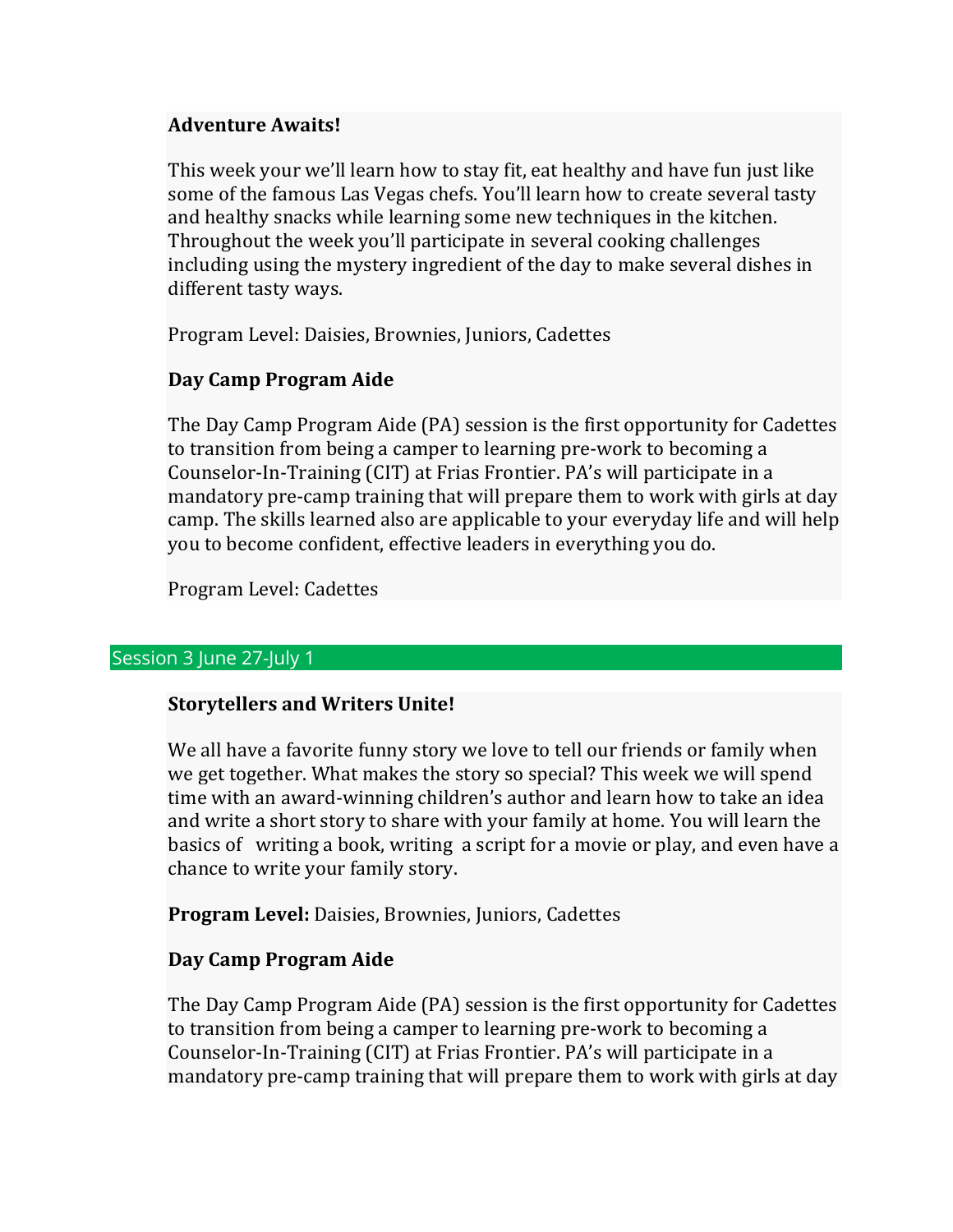## **Adventure Awaits!**

This week your we'll learn how to stay fit, eat healthy and have fun just like some of the famous Las Vegas chefs. You'll learn how to create several tasty and healthy snacks while learning some new techniques in the kitchen. Throughout the week you'll participate in several cooking challenges including using the mystery ingredient of the day to make several dishes in different tasty ways.

Program Level: Daisies, Brownies, Juniors, Cadettes

# **Day Camp Program Aide**

The Day Camp Program Aide (PA) session is the first opportunity for Cadettes to transition from being a camper to learning pre-work to becoming a Counselor-In-Training (CIT) at Frias Frontier. PA's will participate in a mandatory pre-camp training that will prepare them to work with girls at day camp. The skills learned also are applicable to your everyday life and will help you to become confident, effective leaders in everything you do.

Program Level: Cadettes

## Session 3 June 27-July 1

## **Storytellers and Writers Unite!**

We all have a favorite funny story we love to tell our friends or family when we get together. What makes the story so special? This week we will spend time with an award-winning children's author and learn how to take an idea and write a short story to share with your family at home. You will learn the basics of writing a book, writing a script for a movie or play, and even have a chance to write your family story.

**Program Level:** Daisies, Brownies, Juniors, Cadettes

## **Day Camp Program Aide**

The Day Camp Program Aide (PA) session is the first opportunity for Cadettes to transition from being a camper to learning pre-work to becoming a Counselor-In-Training (CIT) at Frias Frontier. PA's will participate in a mandatory pre-camp training that will prepare them to work with girls at day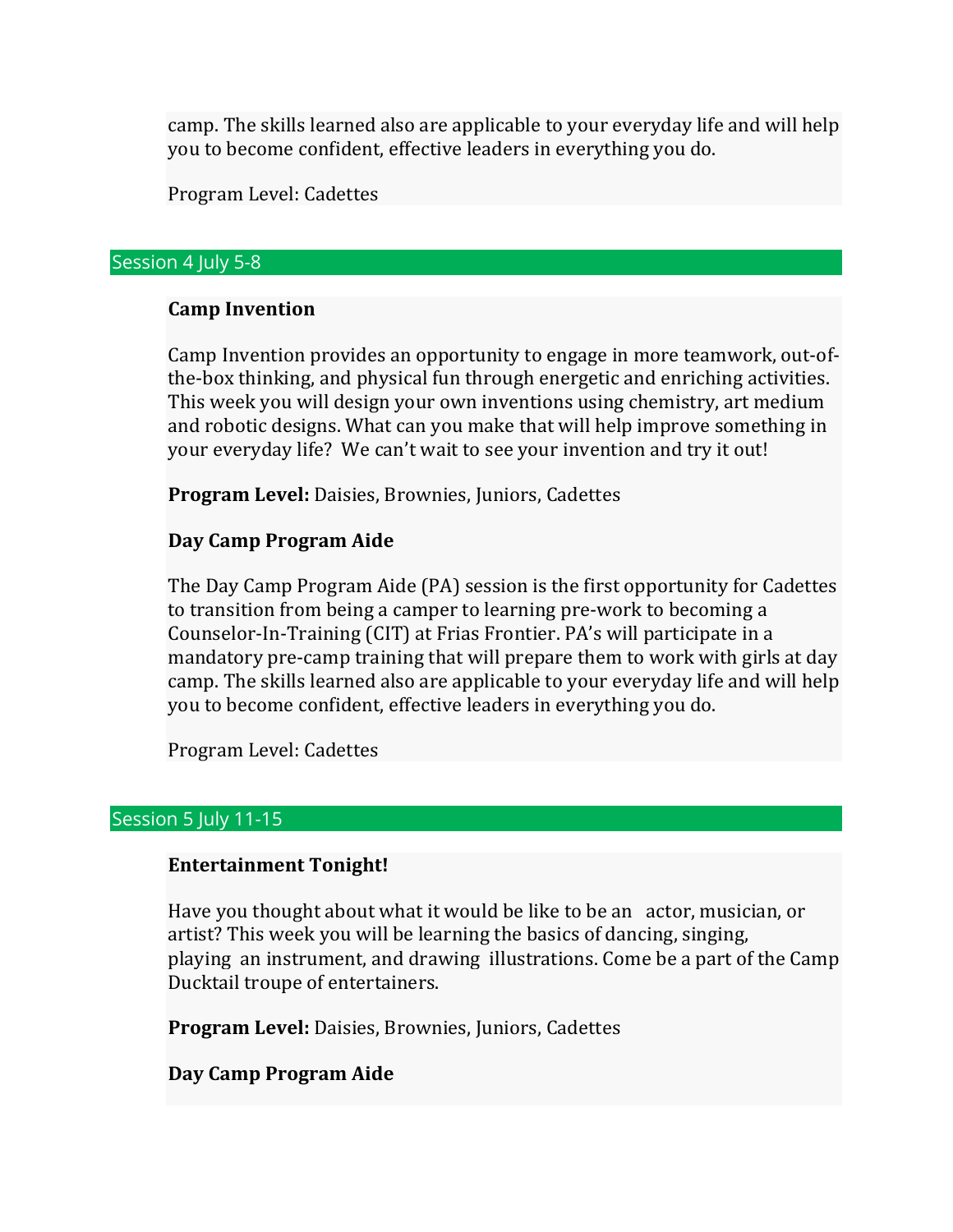camp. The skills learned also are applicable to your everyday life and will help you to become confident, effective leaders in everything you do.

Program Level: Cadettes

#### Session 4 July 5-8

### **Camp Invention**

Camp Invention provides an opportunity to engage in more teamwork, out-ofthe-box thinking, and physical fun through energetic and enriching activities. This week you will design your own inventions using chemistry, art medium and robotic designs. What can you make that will help improve something in your everyday life? We can't wait to see your invention and try it out!

**Program Level:** Daisies, Brownies, Juniors, Cadettes

## **Day Camp Program Aide**

The Day Camp Program Aide (PA) session is the first opportunity for Cadettes to transition from being a camper to learning pre-work to becoming a Counselor-In-Training (CIT) at Frias Frontier. PA's will participate in a mandatory pre-camp training that will prepare them to work with girls at day camp. The skills learned also are applicable to your everyday life and will help you to become confident, effective leaders in everything you do.

Program Level: Cadettes

### Session 5 July 11-15

### **Entertainment Tonight!**

Have you thought about what it would be like to be an actor, musician, or artist? This week you will be learning the basics of dancing, singing, playing an instrument, and drawing illustrations. Come be a part of the Camp Ducktail troupe of entertainers.

**Program Level:** Daisies, Brownies, Juniors, Cadettes

## **Day Camp Program Aide**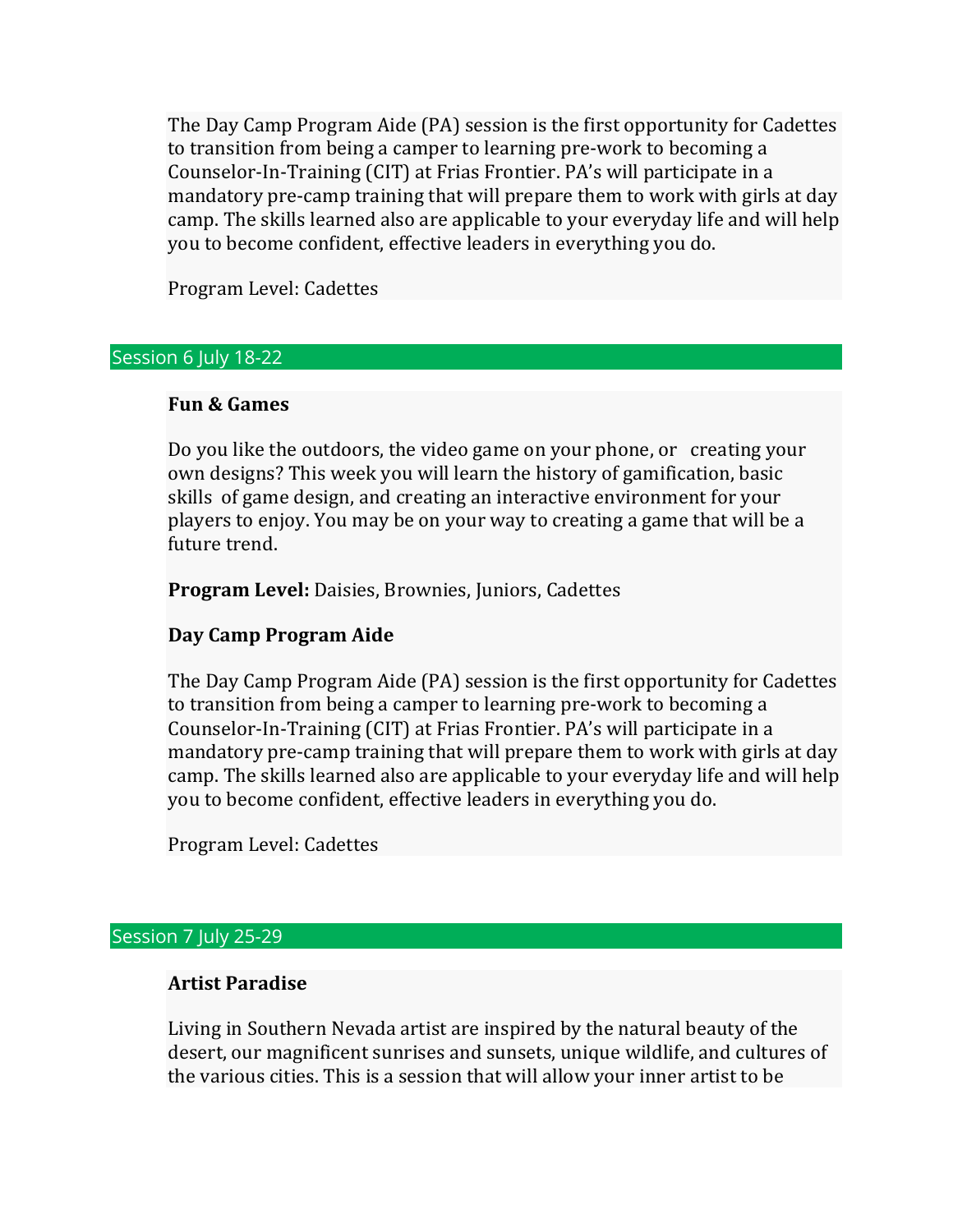The Day Camp Program Aide (PA) session is the first opportunity for Cadettes to transition from being a camper to learning pre-work to becoming a Counselor-In-Training (CIT) at Frias Frontier. PA's will participate in a mandatory pre-camp training that will prepare them to work with girls at day camp. The skills learned also are applicable to your everyday life and will help you to become confident, effective leaders in everything you do.

Program Level: Cadettes

#### Session 6 July 18-22

#### **Fun & Games**

Do you like the outdoors, the video game on your phone, or creating your own designs? This week you will learn the history of gamification, basic skills of game design, and creating an interactive environment for your players to enjoy. You may be on your way to creating a game that will be a future trend.

**Program Level:** Daisies, Brownies, Juniors, Cadettes

### **Day Camp Program Aide**

The Day Camp Program Aide (PA) session is the first opportunity for Cadettes to transition from being a camper to learning pre-work to becoming a Counselor-In-Training (CIT) at Frias Frontier. PA's will participate in a mandatory pre-camp training that will prepare them to work with girls at day camp. The skills learned also are applicable to your everyday life and will help you to become confident, effective leaders in everything you do.

Program Level: Cadettes

## Session 7 July 25-29

### **Artist Paradise**

Living in Southern Nevada artist are inspired by the natural beauty of the desert, our magnificent sunrises and sunsets, unique wildlife, and cultures of the various cities. This is a session that will allow your inner artist to be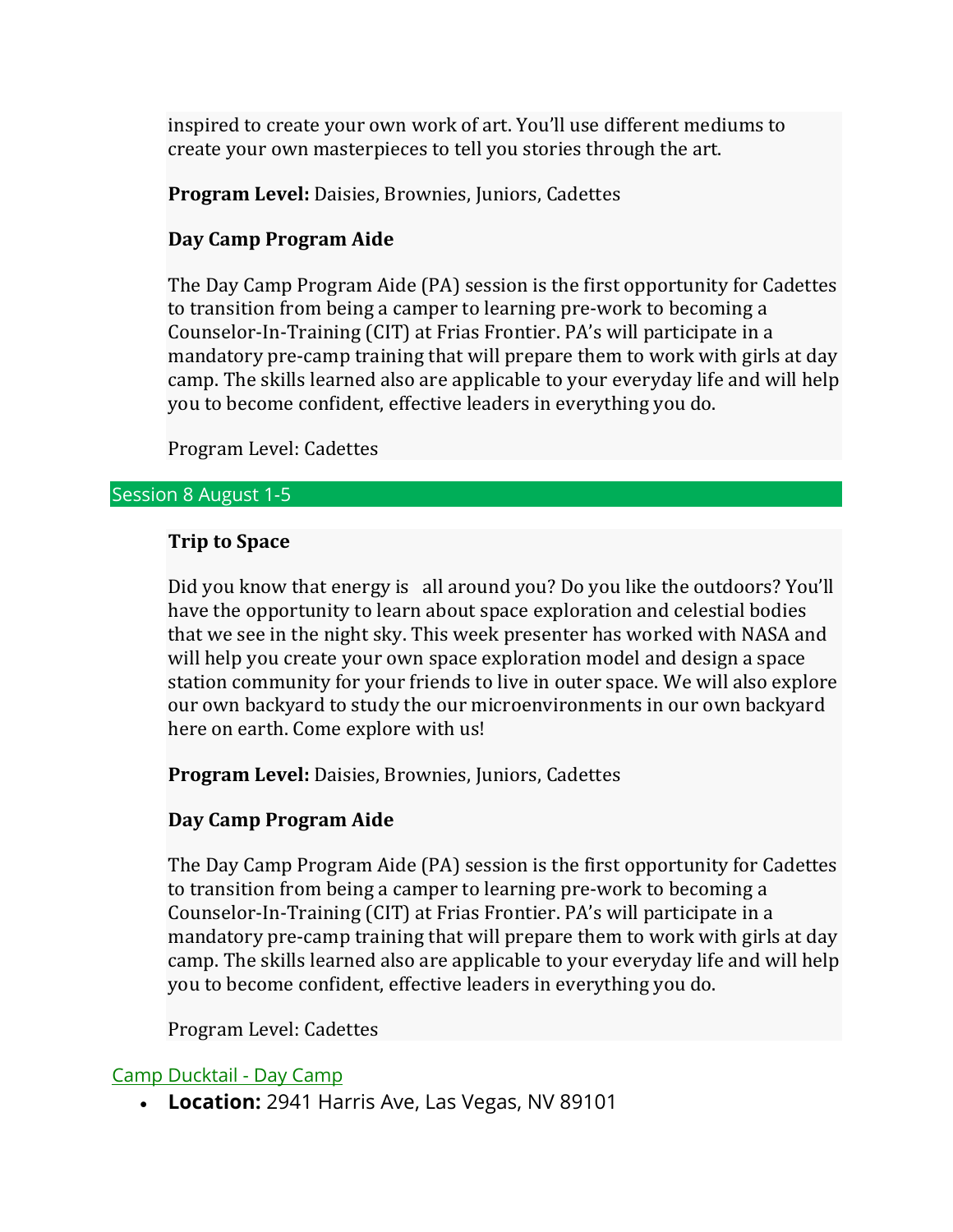inspired to create your own work of art. You'll use different mediums to create your own masterpieces to tell you stories through the art.

**Program Level:** Daisies, Brownies, Juniors, Cadettes

## **Day Camp Program Aide**

The Day Camp Program Aide (PA) session is the first opportunity for Cadettes to transition from being a camper to learning pre-work to becoming a Counselor-In-Training (CIT) at Frias Frontier. PA's will participate in a mandatory pre-camp training that will prepare them to work with girls at day camp. The skills learned also are applicable to your everyday life and will help you to become confident, effective leaders in everything you do.

Program Level: Cadettes

#### Session 8 August 1-5

## **Trip to Space**

Did you know that energy is all around you? Do you like the outdoors? You'll have the opportunity to learn about space exploration and celestial bodies that we see in the night sky. This week presenter has worked with NASA and will help you create your own space exploration model and design a space station community for your friends to live in outer space. We will also explore our own backyard to study the our microenvironments in our own backyard here on earth. Come explore with us!

**Program Level:** Daisies, Brownies, Juniors, Cadettes

## **Day Camp Program Aide**

The Day Camp Program Aide (PA) session is the first opportunity for Cadettes to transition from being a camper to learning pre-work to becoming a Counselor-In-Training (CIT) at Frias Frontier. PA's will participate in a mandatory pre-camp training that will prepare them to work with girls at day camp. The skills learned also are applicable to your everyday life and will help you to become confident, effective leaders in everything you do.

Program Level: Cadettes

### Camp Ducktail - Day Camp

• **Location:** 2941 Harris Ave, Las Vegas, NV 89101